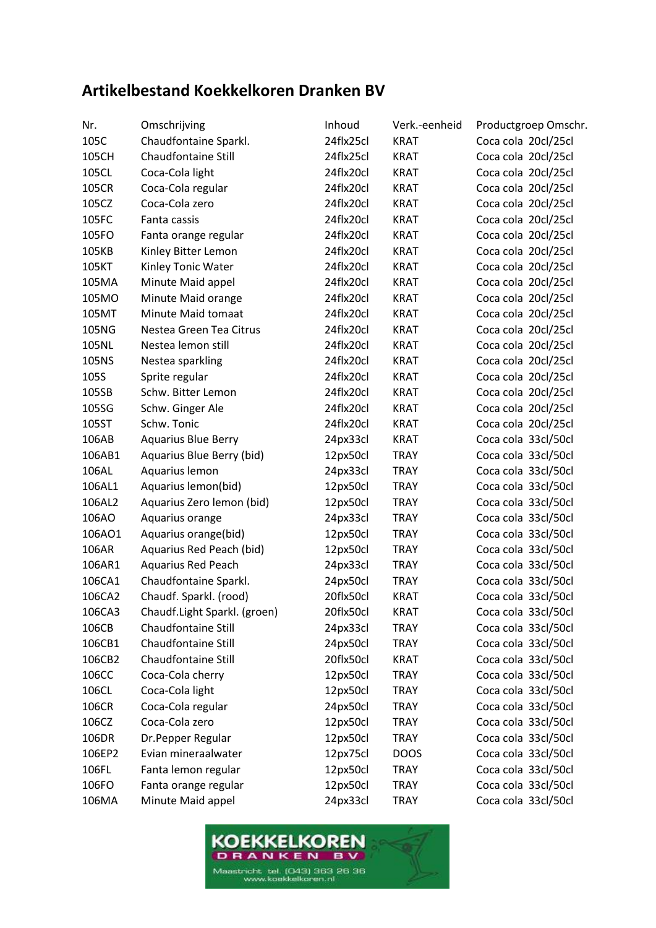## **Artikelbestand Koekkelkoren Dranken BV**

| Nr.    | Omschrijving                 | Inhoud    | Verk.-eenheid | Productgroep Omschr. |
|--------|------------------------------|-----------|---------------|----------------------|
| 105C   | Chaudfontaine Sparkl.        | 24flx25cl | <b>KRAT</b>   | Coca cola 20cl/25cl  |
| 105CH  | Chaudfontaine Still          | 24flx25cl | KRAT          | Coca cola 20cl/25cl  |
| 105CL  | Coca-Cola light              | 24flx20cl | <b>KRAT</b>   | Coca cola 20cl/25cl  |
| 105CR  | Coca-Cola regular            | 24flx20cl | <b>KRAT</b>   | Coca cola 20cl/25cl  |
| 105CZ  | Coca-Cola zero               | 24flx20cl | <b>KRAT</b>   | Coca cola 20cl/25cl  |
| 105FC  | Fanta cassis                 | 24flx20cl | <b>KRAT</b>   | Coca cola 20cl/25cl  |
| 105FO  | Fanta orange regular         | 24flx20cl | <b>KRAT</b>   | Coca cola 20cl/25cl  |
| 105KB  | Kinley Bitter Lemon          | 24flx20cl | <b>KRAT</b>   | Coca cola 20cl/25cl  |
| 105KT  | Kinley Tonic Water           | 24flx20cl | <b>KRAT</b>   | Coca cola 20cl/25cl  |
| 105MA  | Minute Maid appel            | 24flx20cl | <b>KRAT</b>   | Coca cola 20cl/25cl  |
| 105MO  | Minute Maid orange           | 24flx20cl | <b>KRAT</b>   | Coca cola 20cl/25cl  |
| 105MT  | Minute Maid tomaat           | 24flx20cl | <b>KRAT</b>   | Coca cola 20cl/25cl  |
| 105NG  | Nestea Green Tea Citrus      | 24flx20cl | <b>KRAT</b>   | Coca cola 20cl/25cl  |
| 105NL  | Nestea lemon still           | 24flx20cl | <b>KRAT</b>   | Coca cola 20cl/25cl  |
| 105NS  | Nestea sparkling             | 24flx20cl | KRAT          | Coca cola 20cl/25cl  |
| 105S   | Sprite regular               | 24flx20cl | <b>KRAT</b>   | Coca cola 20cl/25cl  |
| 105SB  | Schw. Bitter Lemon           | 24flx20cl | <b>KRAT</b>   | Coca cola 20cl/25cl  |
| 105SG  | Schw. Ginger Ale             | 24flx20cl | <b>KRAT</b>   | Coca cola 20cl/25cl  |
| 105ST  | Schw. Tonic                  | 24flx20cl | <b>KRAT</b>   | Coca cola 20cl/25cl  |
| 106AB  | <b>Aquarius Blue Berry</b>   | 24px33cl  | <b>KRAT</b>   | Coca cola 33cl/50cl  |
| 106AB1 | Aquarius Blue Berry (bid)    | 12px50cl  | <b>TRAY</b>   | Coca cola 33cl/50cl  |
| 106AL  | Aquarius lemon               | 24px33cl  | <b>TRAY</b>   | Coca cola 33cl/50cl  |
| 106AL1 | Aquarius lemon(bid)          | 12px50cl  | <b>TRAY</b>   | Coca cola 33cl/50cl  |
| 106AL2 | Aquarius Zero lemon (bid)    | 12px50cl  | <b>TRAY</b>   | Coca cola 33cl/50cl  |
| 106AO  | Aquarius orange              | 24px33cl  | <b>TRAY</b>   | Coca cola 33cl/50cl  |
| 106AO1 | Aquarius orange(bid)         | 12px50cl  | <b>TRAY</b>   | Coca cola 33cl/50cl  |
| 106AR  | Aquarius Red Peach (bid)     | 12px50cl  | <b>TRAY</b>   | Coca cola 33cl/50cl  |
| 106AR1 | <b>Aquarius Red Peach</b>    | 24px33cl  | <b>TRAY</b>   | Coca cola 33cl/50cl  |
| 106CA1 | Chaudfontaine Sparkl.        | 24px50cl  | <b>TRAY</b>   | Coca cola 33cl/50cl  |
| 106CA2 | Chaudf. Sparkl. (rood)       | 20flx50cl | <b>KRAT</b>   | Coca cola 33cl/50cl  |
| 106CA3 | Chaudf.Light Sparkl. (groen) | 20flx50cl | <b>KRAT</b>   | Coca cola 33cl/50cl  |
| 106CB  | Chaudfontaine Still          | 24px33cl  | <b>TRAY</b>   | Coca cola 33cl/50cl  |
| 106CB1 | Chaudfontaine Still          | 24px50cl  | <b>TRAY</b>   | Coca cola 33cl/50cl  |
| 106CB2 | Chaudfontaine Still          | 20flx50cl | <b>KRAT</b>   | Coca cola 33cl/50cl  |
| 106CC  | Coca-Cola cherry             | 12px50cl  | <b>TRAY</b>   | Coca cola 33cl/50cl  |
| 106CL  | Coca-Cola light              | 12px50cl  | <b>TRAY</b>   | Coca cola 33cl/50cl  |
| 106CR  | Coca-Cola regular            | 24px50cl  | <b>TRAY</b>   | Coca cola 33cl/50cl  |
| 106CZ  | Coca-Cola zero               | 12px50cl  | <b>TRAY</b>   | Coca cola 33cl/50cl  |
| 106DR  | Dr.Pepper Regular            | 12px50cl  | TRAY          | Coca cola 33cl/50cl  |
| 106EP2 | Evian mineraalwater          | 12px75cl  | <b>DOOS</b>   | Coca cola 33cl/50cl  |
| 106FL  | Fanta lemon regular          | 12px50cl  | <b>TRAY</b>   | Coca cola 33cl/50cl  |
| 106FO  | Fanta orange regular         | 12px50cl  | <b>TRAY</b>   | Coca cola 33cl/50cl  |
| 106MA  | Minute Maid appel            | 24px33cl  | <b>TRAY</b>   | Coca cola 33cl/50cl  |
|        |                              |           |               |                      |

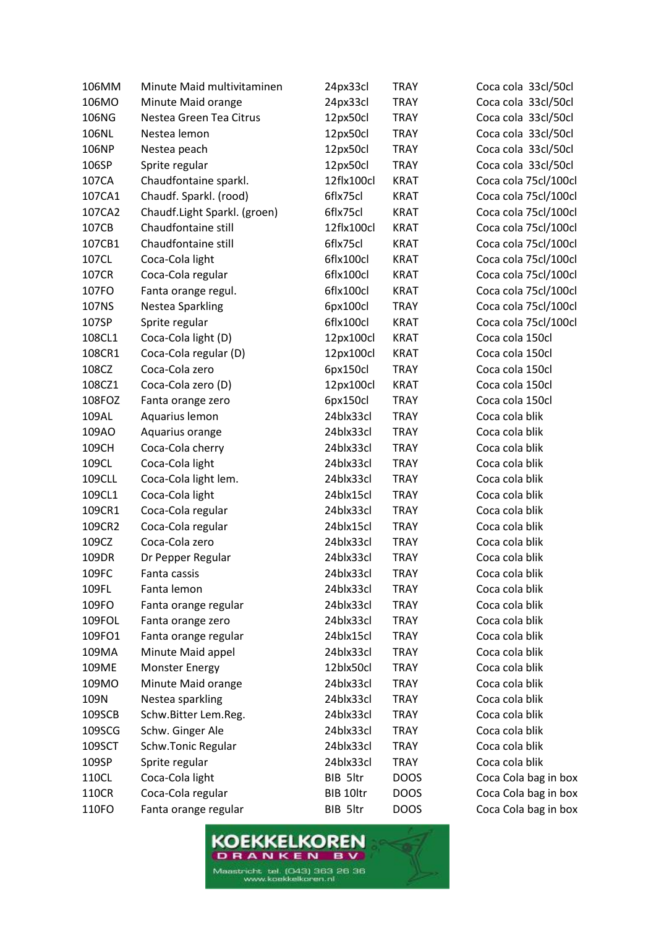| 106MM  | Minute Maid multivitaminen   | 24px33cl   | <b>TRAY</b> | Coca cola 33cl/50cl  |
|--------|------------------------------|------------|-------------|----------------------|
| 106MO  | Minute Maid orange           | 24px33cl   | <b>TRAY</b> | Coca cola 33cl/50cl  |
| 106NG  | Nestea Green Tea Citrus      | 12px50cl   | <b>TRAY</b> | Coca cola 33cl/50cl  |
| 106NL  | Nestea lemon                 | 12px50cl   | <b>TRAY</b> | Coca cola 33cl/50cl  |
| 106NP  | Nestea peach                 | 12px50cl   | <b>TRAY</b> | Coca cola 33cl/50cl  |
| 106SP  | Sprite regular               | 12px50cl   | <b>TRAY</b> | Coca cola 33cl/50cl  |
| 107CA  | Chaudfontaine sparkl.        | 12flx100cl | <b>KRAT</b> | Coca cola 75cl/100cl |
| 107CA1 | Chaudf. Sparkl. (rood)       | 6flx75cl   | <b>KRAT</b> | Coca cola 75cl/100cl |
| 107CA2 | Chaudf.Light Sparkl. (groen) | 6flx75cl   | <b>KRAT</b> | Coca cola 75cl/100cl |
| 107CB  | Chaudfontaine still          | 12flx100cl | <b>KRAT</b> | Coca cola 75cl/100cl |
| 107CB1 | Chaudfontaine still          | 6flx75cl   | <b>KRAT</b> | Coca cola 75cl/100cl |
| 107CL  | Coca-Cola light              | 6flx100cl  | <b>KRAT</b> | Coca cola 75cl/100cl |
| 107CR  | Coca-Cola regular            | 6flx100cl  | <b>KRAT</b> | Coca cola 75cl/100cl |
| 107FO  | Fanta orange regul.          | 6flx100cl  | <b>KRAT</b> | Coca cola 75cl/100cl |
| 107NS  | Nestea Sparkling             | 6px100cl   | <b>TRAY</b> | Coca cola 75cl/100cl |
| 107SP  | Sprite regular               | 6flx100cl  | <b>KRAT</b> | Coca cola 75cl/100cl |
| 108CL1 | Coca-Cola light (D)          | 12px100cl  | <b>KRAT</b> | Coca cola 150cl      |
| 108CR1 | Coca-Cola regular (D)        | 12px100cl  | <b>KRAT</b> | Coca cola 150cl      |
| 108CZ  | Coca-Cola zero               | 6px150cl   | <b>TRAY</b> | Coca cola 150cl      |
| 108CZ1 | Coca-Cola zero (D)           | 12px100cl  | <b>KRAT</b> | Coca cola 150cl      |
| 108FOZ | Fanta orange zero            | 6px150cl   | <b>TRAY</b> | Coca cola 150cl      |
| 109AL  | Aquarius lemon               | 24blx33cl  | <b>TRAY</b> | Coca cola blik       |
| 109AO  | Aquarius orange              | 24blx33cl  | <b>TRAY</b> | Coca cola blik       |
| 109CH  | Coca-Cola cherry             | 24blx33cl  | <b>TRAY</b> | Coca cola blik       |
| 109CL  | Coca-Cola light              | 24blx33cl  | <b>TRAY</b> | Coca cola blik       |
| 109CLL | Coca-Cola light lem.         | 24blx33cl  | <b>TRAY</b> | Coca cola blik       |
| 109CL1 | Coca-Cola light              | 24blx15cl  | <b>TRAY</b> | Coca cola blik       |
| 109CR1 | Coca-Cola regular            | 24blx33cl  | <b>TRAY</b> | Coca cola blik       |
| 109CR2 | Coca-Cola regular            | 24blx15cl  | <b>TRAY</b> | Coca cola blik       |
| 109CZ  | Coca-Cola zero               | 24blx33cl  | <b>TRAY</b> | Coca cola blik       |
| 109DR  | Dr Pepper Regular            | 24blx33cl  | <b>TRAY</b> | Coca cola blik       |
| 109FC  | Fanta cassis                 | 24blx33cl  | <b>TRAY</b> | Coca cola blik       |
| 109FL  | Fanta lemon                  | 24blx33cl  | <b>TRAY</b> | Coca cola blik       |
| 109FO  | Fanta orange regular         | 24blx33cl  | <b>TRAY</b> | Coca cola blik       |
| 109FOL | Fanta orange zero            | 24blx33cl  | <b>TRAY</b> | Coca cola blik       |
| 109FO1 | Fanta orange regular         | 24blx15cl  | <b>TRAY</b> | Coca cola blik       |
| 109MA  | Minute Maid appel            | 24blx33cl  | <b>TRAY</b> | Coca cola blik       |
| 109ME  | <b>Monster Energy</b>        | 12blx50cl  | <b>TRAY</b> | Coca cola blik       |
| 109MO  | Minute Maid orange           | 24blx33cl  | <b>TRAY</b> | Coca cola blik       |
| 109N   | Nestea sparkling             | 24blx33cl  | <b>TRAY</b> | Coca cola blik       |
| 109SCB | Schw.Bitter Lem.Reg.         | 24blx33cl  | <b>TRAY</b> | Coca cola blik       |
| 109SCG | Schw. Ginger Ale             | 24blx33cl  | <b>TRAY</b> | Coca cola blik       |
| 109SCT | Schw.Tonic Regular           | 24blx33cl  | <b>TRAY</b> | Coca cola blik       |
| 109SP  | Sprite regular               | 24blx33cl  | <b>TRAY</b> | Coca cola blik       |
| 110CL  | Coca-Cola light              | BIB 5ltr   | <b>DOOS</b> | Coca Cola bag in box |
| 110CR  | Coca-Cola regular            | BIB 10ltr  | <b>DOOS</b> | Coca Cola bag in box |
| 110FO  | Fanta orange regular         | BIB 5ltr   | <b>DOOS</b> | Coca Cola bag in box |

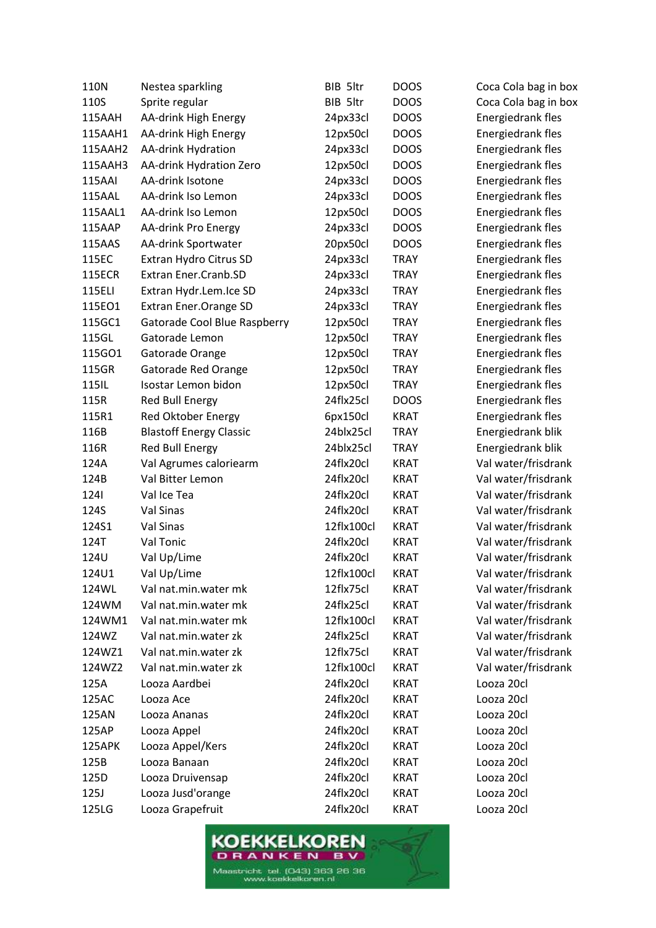| 110N          | Nestea sparkling               | BIB 5ltr   | <b>DOOS</b> | Coca Cola bag in box     |
|---------------|--------------------------------|------------|-------------|--------------------------|
| 110S          | Sprite regular                 | BIB 5ltr   | <b>DOOS</b> | Coca Cola bag in box     |
| 115AAH        | AA-drink High Energy           | 24px33cl   | <b>DOOS</b> | Energiedrank fles        |
| 115AAH1       | AA-drink High Energy           | 12px50cl   | <b>DOOS</b> | Energiedrank fles        |
| 115AAH2       | AA-drink Hydration             | 24px33cl   | <b>DOOS</b> | Energiedrank fles        |
| 115AAH3       | AA-drink Hydration Zero        | 12px50cl   | <b>DOOS</b> | Energiedrank fles        |
| 115AAI        | AA-drink Isotone               | 24px33cl   | <b>DOOS</b> | Energiedrank fles        |
| 115AAL        | AA-drink Iso Lemon             | 24px33cl   | <b>DOOS</b> | Energiedrank fles        |
| 115AAL1       | AA-drink Iso Lemon             | 12px50cl   | <b>DOOS</b> | Energiedrank fles        |
| 115AAP        | AA-drink Pro Energy            | 24px33cl   | <b>DOOS</b> | Energiedrank fles        |
| 115AAS        | AA-drink Sportwater            | 20px50cl   | <b>DOOS</b> | Energiedrank fles        |
| 115EC         | Extran Hydro Citrus SD         | 24px33cl   | <b>TRAY</b> | Energiedrank fles        |
| <b>115ECR</b> | Extran Ener.Cranb.SD           | 24px33cl   | <b>TRAY</b> | Energiedrank fles        |
| 115ELI        | Extran Hydr.Lem.Ice SD         | 24px33cl   | <b>TRAY</b> | Energiedrank fles        |
| 115EO1        | <b>Extran Ener.Orange SD</b>   | 24px33cl   | <b>TRAY</b> | Energiedrank fles        |
| 115GC1        | Gatorade Cool Blue Raspberry   | 12px50cl   | <b>TRAY</b> | Energiedrank fles        |
| 115GL         | Gatorade Lemon                 | 12px50cl   | <b>TRAY</b> | Energiedrank fles        |
| 115GO1        | Gatorade Orange                | 12px50cl   | <b>TRAY</b> | Energiedrank fles        |
| 115GR         | Gatorade Red Orange            | 12px50cl   | <b>TRAY</b> | <b>Energiedrank fles</b> |
| 115IL         | Isostar Lemon bidon            | 12px50cl   | <b>TRAY</b> | Energiedrank fles        |
| 115R          | Red Bull Energy                | 24flx25cl  | <b>DOOS</b> | Energiedrank fles        |
| 115R1         | Red Oktober Energy             | 6px150cl   | <b>KRAT</b> | Energiedrank fles        |
| 116B          | <b>Blastoff Energy Classic</b> | 24blx25cl  | <b>TRAY</b> | Energiedrank blik        |
| 116R          | Red Bull Energy                | 24blx25cl  | <b>TRAY</b> | Energiedrank blik        |
| 124A          | Val Agrumes caloriearm         | 24flx20cl  | <b>KRAT</b> | Val water/frisdrank      |
| 124B          | Val Bitter Lemon               | 24flx20cl  | <b>KRAT</b> | Val water/frisdrank      |
| 1241          | Val Ice Tea                    | 24flx20cl  | <b>KRAT</b> | Val water/frisdrank      |
| 124S          | Val Sinas                      | 24flx20cl  | <b>KRAT</b> | Val water/frisdrank      |
| 124S1         | Val Sinas                      | 12flx100cl | <b>KRAT</b> | Val water/frisdrank      |
| 124T          | Val Tonic                      | 24flx20cl  | <b>KRAT</b> | Val water/frisdrank      |
| 124U          | Val Up/Lime                    | 24flx20cl  | <b>KRAT</b> | Val water/frisdrank      |
| 124U1         | Val Up/Lime                    | 12flx100cl | <b>KRAT</b> | Val water/frisdrank      |
| 124WL         | Val nat.min.water mk           | 12flx75cl  | <b>KRAT</b> | Val water/frisdrank      |
| 124WM         | Val nat.min.water mk           | 24flx25cl  | <b>KRAT</b> | Val water/frisdrank      |
| 124WM1        | Val nat.min.water mk           | 12flx100cl | <b>KRAT</b> | Val water/frisdrank      |
| 124WZ         | Val nat.min.water zk           | 24flx25cl  | <b>KRAT</b> | Val water/frisdrank      |
| 124WZ1        | Val nat.min.water zk           | 12flx75cl  | KRAT        | Val water/frisdrank      |
| 124WZ2        | Val nat.min.water zk           | 12flx100cl | <b>KRAT</b> | Val water/frisdrank      |
| 125A          | Looza Aardbei                  | 24flx20cl  | <b>KRAT</b> | Looza 20cl               |
| 125AC         | Looza Ace                      | 24flx20cl  | <b>KRAT</b> | Looza 20cl               |
| 125AN         | Looza Ananas                   | 24flx20cl  | KRAT        | Looza 20cl               |
| 125AP         | Looza Appel                    | 24flx20cl  | KRAT        | Looza 20cl               |
| 125APK        | Looza Appel/Kers               | 24flx20cl  | <b>KRAT</b> | Looza 20cl               |
| 125B          | Looza Banaan                   | 24flx20cl  | KRAT        | Looza 20cl               |
| 125D          | Looza Druivensap               | 24flx20cl  | <b>KRAT</b> | Looza 20cl               |
| 125J          | Looza Jusd'orange              | 24flx20cl  | <b>KRAT</b> | Looza 20cl               |
| 125LG         | Looza Grapefruit               | 24flx20cl  | <b>KRAT</b> | Looza 20cl               |
|               |                                |            |             |                          |

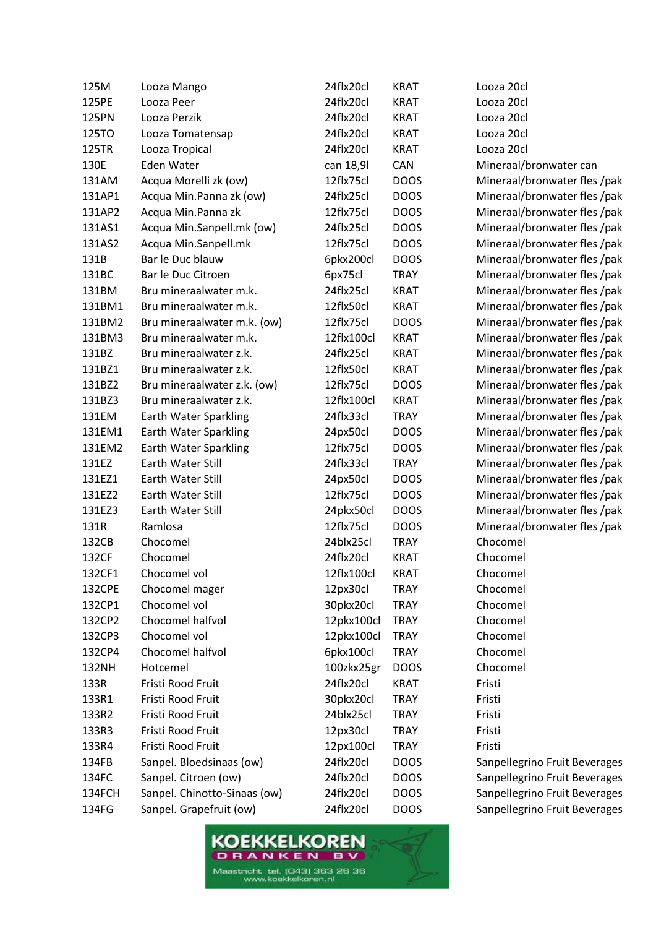| 125M   | Looza Mango                  | 24flx20cl  | <b>KRAT</b> | Looza 20cl                    |
|--------|------------------------------|------------|-------------|-------------------------------|
| 125PE  | Looza Peer                   | 24flx20cl  | <b>KRAT</b> | Looza 20cl                    |
| 125PN  | Looza Perzik                 | 24flx20cl  | <b>KRAT</b> | Looza 20cl                    |
| 125TO  | Looza Tomatensap             | 24flx20cl  | <b>KRAT</b> | Looza 20cl                    |
| 125TR  | Looza Tropical               | 24flx20cl  | <b>KRAT</b> | Looza 20cl                    |
| 130E   | Eden Water                   | can 18,9l  | CAN         | Mineraal/bronwater can        |
| 131AM  | Acqua Morelli zk (ow)        | 12flx75cl  | <b>DOOS</b> | Mineraal/bronwater fles /pak  |
| 131AP1 | Acqua Min.Panna zk (ow)      | 24flx25cl  | <b>DOOS</b> | Mineraal/bronwater fles /pak  |
| 131AP2 | Acqua Min.Panna zk           | 12flx75cl  | <b>DOOS</b> | Mineraal/bronwater fles /pak  |
| 131AS1 | Acqua Min.Sanpell.mk (ow)    | 24flx25cl  | <b>DOOS</b> | Mineraal/bronwater fles /pak  |
| 131AS2 | Acqua Min.Sanpell.mk         | 12flx75cl  | <b>DOOS</b> | Mineraal/bronwater fles /pak  |
| 131B   | Bar le Duc blauw             | 6pkx200cl  | <b>DOOS</b> | Mineraal/bronwater fles /pak  |
| 131BC  | Bar le Duc Citroen           | 6px75cl    | <b>TRAY</b> | Mineraal/bronwater fles /pak  |
| 131BM  | Bru mineraalwater m.k.       | 24flx25cl  | <b>KRAT</b> | Mineraal/bronwater fles /pak  |
| 131BM1 | Bru mineraalwater m.k.       | 12flx50cl  | <b>KRAT</b> | Mineraal/bronwater fles /pak  |
| 131BM2 | Bru mineraalwater m.k. (ow)  | 12flx75cl  | <b>DOOS</b> | Mineraal/bronwater fles /pak  |
| 131BM3 | Bru mineraalwater m.k.       | 12flx100cl | <b>KRAT</b> | Mineraal/bronwater fles /pak  |
| 131BZ  | Bru mineraalwater z.k.       | 24flx25cl  | <b>KRAT</b> | Mineraal/bronwater fles /pak  |
| 131BZ1 | Bru mineraalwater z.k.       | 12flx50cl  | <b>KRAT</b> | Mineraal/bronwater fles /pak  |
| 131BZ2 | Bru mineraalwater z.k. (ow)  | 12flx75cl  | <b>DOOS</b> | Mineraal/bronwater fles /pak  |
| 131BZ3 | Bru mineraalwater z.k.       | 12flx100cl | <b>KRAT</b> | Mineraal/bronwater fles /pak  |
| 131EM  | Earth Water Sparkling        | 24flx33cl  | <b>TRAY</b> | Mineraal/bronwater fles /pak  |
| 131EM1 | Earth Water Sparkling        | 24px50cl   | <b>DOOS</b> | Mineraal/bronwater fles /pak  |
| 131EM2 | Earth Water Sparkling        | 12flx75cl  | <b>DOOS</b> | Mineraal/bronwater fles /pak  |
| 131EZ  | Earth Water Still            | 24flx33cl  | <b>TRAY</b> | Mineraal/bronwater fles /pak  |
| 131EZ1 | Earth Water Still            | 24px50cl   | <b>DOOS</b> | Mineraal/bronwater fles /pak  |
| 131EZ2 | Earth Water Still            | 12flx75cl  | <b>DOOS</b> | Mineraal/bronwater fles /pak  |
| 131EZ3 | Earth Water Still            | 24pkx50cl  | <b>DOOS</b> | Mineraal/bronwater fles /pak  |
| 131R   | Ramlosa                      | 12flx75cl  | <b>DOOS</b> | Mineraal/bronwater fles /pak  |
| 132CB  | Chocomel                     | 24blx25cl  | <b>TRAY</b> | Chocomel                      |
| 132CF  | Chocomel                     | 24flx20cl  | <b>KRAT</b> | Chocomel                      |
| 132CF1 | Chocomel vol                 | 12flx100cl | <b>KRAT</b> | Chocomel                      |
| 132CPE | Chocomel mager               | 12px30cl   | <b>TRAY</b> | Chocomel                      |
| 132CP1 | Chocomel vol                 | 30pkx20cl  | <b>TRAY</b> | Chocomel                      |
| 132CP2 | Chocomel halfvol             | 12pkx100cl | <b>TRAY</b> | Chocomel                      |
| 132CP3 | Chocomel vol                 | 12pkx100cl | <b>TRAY</b> | Chocomel                      |
| 132CP4 | Chocomel halfvol             | 6pkx100cl  | <b>TRAY</b> | Chocomel                      |
| 132NH  | Hotcemel                     | 100zkx25gr | <b>DOOS</b> | Chocomel                      |
| 133R   | Fristi Rood Fruit            | 24flx20cl  | <b>KRAT</b> | Fristi                        |
| 133R1  | Fristi Rood Fruit            | 30pkx20cl  | <b>TRAY</b> | Fristi                        |
| 133R2  | Fristi Rood Fruit            | 24blx25cl  | <b>TRAY</b> | Fristi                        |
| 133R3  | Fristi Rood Fruit            | 12px30cl   | <b>TRAY</b> | Fristi                        |
| 133R4  | Fristi Rood Fruit            | 12px100cl  | <b>TRAY</b> | Fristi                        |
| 134FB  | Sanpel. Bloedsinaas (ow)     | 24flx20cl  | <b>DOOS</b> | Sanpellegrino Fruit Beverages |
| 134FC  | Sanpel. Citroen (ow)         | 24flx20cl  | <b>DOOS</b> | Sanpellegrino Fruit Beverages |
| 134FCH | Sanpel. Chinotto-Sinaas (ow) | 24flx20cl  | <b>DOOS</b> | Sanpellegrino Fruit Beverages |
| 134FG  | Sanpel. Grapefruit (ow)      | 24flx20cl  | <b>DOOS</b> | Sanpellegrino Fruit Beverages |
|        |                              |            |             |                               |

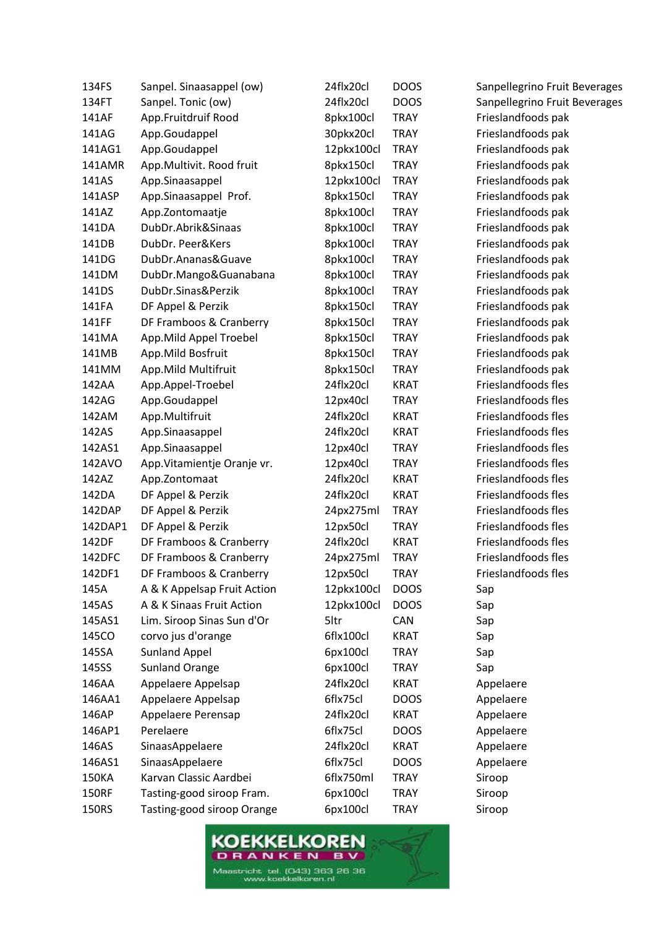| 24flx20cl<br><b>DOOS</b><br>Sanpellegrino Fruit Beverages<br>134FT<br>Sanpel. Tonic (ow)<br>App.Fruitdruif Rood<br>8pkx100cl<br>Frieslandfoods pak<br>141AF<br><b>TRAY</b><br>Frieslandfoods pak<br>141AG<br>App.Goudappel<br>30pkx20cl<br><b>TRAY</b><br>App.Goudappel<br>12pkx100cl<br>Frieslandfoods pak<br>141AG1<br><b>TRAY</b><br>App.Multivit. Rood fruit<br><b>TRAY</b><br>Frieslandfoods pak<br>141AMR<br>8pkx150cl<br>Frieslandfoods pak<br>141AS<br>App.Sinaasappel<br>12pkx100cl<br><b>TRAY</b><br><b>TRAY</b><br>Frieslandfoods pak<br>141ASP<br>App.Sinaasappel Prof.<br>8pkx150cl<br>8pkx100cl<br>Frieslandfoods pak<br>141AZ<br>App.Zontomaatje<br><b>TRAY</b><br>141DA<br>DubDr.Abrik&Sinaas<br>Frieslandfoods pak<br>8pkx100cl<br><b>TRAY</b><br>141DB<br>DubDr. Peer&Kers<br>8pkx100cl<br><b>TRAY</b><br>Frieslandfoods pak<br>DubDr.Ananas&Guave<br>8pkx100cl<br>Frieslandfoods pak<br>141DG<br><b>TRAY</b><br>Frieslandfoods pak<br>141DM<br>DubDr.Mango&Guanabana<br>8pkx100cl<br><b>TRAY</b><br>141DS<br>DubDr.Sinas&Perzik<br>8pkx100cl<br><b>TRAY</b><br>Frieslandfoods pak<br>DF Appel & Perzik<br>Frieslandfoods pak<br>141FA<br>8pkx150cl<br><b>TRAY</b><br>141FF<br><b>TRAY</b><br>Frieslandfoods pak<br>DF Framboos & Cranberry<br>8pkx150cl<br>8pkx150cl<br>Frieslandfoods pak<br>141MA<br>App.Mild Appel Troebel<br><b>TRAY</b><br>App.Mild Bosfruit<br>Frieslandfoods pak<br>141MB<br>8pkx150cl<br><b>TRAY</b><br>App.Mild Multifruit<br>8pkx150cl<br><b>TRAY</b><br>Frieslandfoods pak<br>141MM<br>Frieslandfoods fles<br>24flx20cl<br>142AA<br>App.Appel-Troebel<br><b>KRAT</b><br>Frieslandfoods fles<br>142AG<br>App.Goudappel<br>12px40cl<br><b>TRAY</b><br>Frieslandfoods fles<br>24flx20cl<br><b>KRAT</b><br>142AM<br>App.Multifruit<br>Frieslandfoods fles<br>24flx20cl<br>142AS<br>App.Sinaasappel<br><b>KRAT</b><br>Frieslandfoods fles<br>142AS1<br>App.Sinaasappel<br>12px40cl<br><b>TRAY</b><br>Frieslandfoods fles<br>142AVO<br>App. Vitamientje Oranje vr.<br>12px40cl<br><b>TRAY</b><br>Frieslandfoods fles<br>142AZ<br>24flx20cl<br><b>KRAT</b><br>App.Zontomaat<br>Frieslandfoods fles<br>142DA<br>24flx20cl<br><b>KRAT</b><br>DF Appel & Perzik<br>Frieslandfoods fles<br>DF Appel & Perzik<br>142DAP<br>24px275ml<br><b>TRAY</b><br>Frieslandfoods fles<br>142DAP1<br>DF Appel & Perzik<br>12px50cl<br><b>TRAY</b><br>Frieslandfoods fles<br>142DF<br>DF Framboos & Cranberry<br>24flx20cl<br><b>KRAT</b><br>Frieslandfoods fles<br>142DFC<br>DF Framboos & Cranberry<br>24px275ml<br><b>TRAY</b><br>142DF1<br>DF Framboos & Cranberry<br>12px50cl<br><b>TRAY</b><br>Frieslandfoods fles<br>145A<br>A & K Appelsap Fruit Action<br>12pkx100cl<br><b>DOOS</b><br>Sap<br>A & K Sinaas Fruit Action<br>12pkx100cl<br>145AS<br><b>DOOS</b><br>Sap<br>145AS1<br>Lim. Siroop Sinas Sun d'Or<br>5ltr<br>CAN<br>Sap<br>corvo jus d'orange<br>145CO<br>6flx100cl<br>Sap<br><b>KRAT</b><br><b>Sunland Appel</b><br>145SA<br>6px100cl<br><b>TRAY</b><br>Sap<br><b>Sunland Orange</b><br>145SS<br>6px100cl<br><b>TRAY</b><br>Sap<br>Appelaere Appelsap<br>24flx20cl<br>146AA<br><b>KRAT</b><br>Appelaere<br>146AA1<br>6flx75cl<br><b>DOOS</b><br>Appelaere Appelsap<br>Appelaere<br>146AP<br>Appelaere Perensap<br>24flx20cl<br>Appelaere<br>KRAT<br>Perelaere<br>146AP1<br>6flx75cl<br><b>DOOS</b><br>Appelaere<br>24flx20cl<br>146AS<br>SinaasAppelaere<br><b>KRAT</b><br>Appelaere<br>6flx75cl<br>146AS1<br>SinaasAppelaere<br><b>DOOS</b><br>Appelaere<br>Karvan Classic Aardbei<br>6flx750ml<br>150KA<br><b>TRAY</b><br>Siroop<br><b>150RF</b><br>Tasting-good siroop Fram.<br>6px100cl<br><b>TRAY</b><br>Siroop<br>Tasting-good siroop Orange<br>6px100cl<br>150RS<br><b>TRAY</b><br>Siroop | 134FS | Sanpel. Sinaasappel (ow) | 24flx20cl | <b>DOOS</b> | Sanpellegrino Fruit Beverages |
|--------------------------------------------------------------------------------------------------------------------------------------------------------------------------------------------------------------------------------------------------------------------------------------------------------------------------------------------------------------------------------------------------------------------------------------------------------------------------------------------------------------------------------------------------------------------------------------------------------------------------------------------------------------------------------------------------------------------------------------------------------------------------------------------------------------------------------------------------------------------------------------------------------------------------------------------------------------------------------------------------------------------------------------------------------------------------------------------------------------------------------------------------------------------------------------------------------------------------------------------------------------------------------------------------------------------------------------------------------------------------------------------------------------------------------------------------------------------------------------------------------------------------------------------------------------------------------------------------------------------------------------------------------------------------------------------------------------------------------------------------------------------------------------------------------------------------------------------------------------------------------------------------------------------------------------------------------------------------------------------------------------------------------------------------------------------------------------------------------------------------------------------------------------------------------------------------------------------------------------------------------------------------------------------------------------------------------------------------------------------------------------------------------------------------------------------------------------------------------------------------------------------------------------------------------------------------------------------------------------------------------------------------------------------------------------------------------------------------------------------------------------------------------------------------------------------------------------------------------------------------------------------------------------------------------------------------------------------------------------------------------------------------------------------------------------------------------------------------------------------------------------------------------------------------------------------------------------------------------------------------------------------------------------------------------------------------------------------------------------------------------------------------------------------------------------------------------------------------------------------------------------------------------------------------------------------------------------------------------------------------------------------------------------------------------------------------------------------------------------------|-------|--------------------------|-----------|-------------|-------------------------------|
|                                                                                                                                                                                                                                                                                                                                                                                                                                                                                                                                                                                                                                                                                                                                                                                                                                                                                                                                                                                                                                                                                                                                                                                                                                                                                                                                                                                                                                                                                                                                                                                                                                                                                                                                                                                                                                                                                                                                                                                                                                                                                                                                                                                                                                                                                                                                                                                                                                                                                                                                                                                                                                                                                                                                                                                                                                                                                                                                                                                                                                                                                                                                                                                                                                                                                                                                                                                                                                                                                                                                                                                                                                                                                                                                            |       |                          |           |             |                               |
|                                                                                                                                                                                                                                                                                                                                                                                                                                                                                                                                                                                                                                                                                                                                                                                                                                                                                                                                                                                                                                                                                                                                                                                                                                                                                                                                                                                                                                                                                                                                                                                                                                                                                                                                                                                                                                                                                                                                                                                                                                                                                                                                                                                                                                                                                                                                                                                                                                                                                                                                                                                                                                                                                                                                                                                                                                                                                                                                                                                                                                                                                                                                                                                                                                                                                                                                                                                                                                                                                                                                                                                                                                                                                                                                            |       |                          |           |             |                               |
|                                                                                                                                                                                                                                                                                                                                                                                                                                                                                                                                                                                                                                                                                                                                                                                                                                                                                                                                                                                                                                                                                                                                                                                                                                                                                                                                                                                                                                                                                                                                                                                                                                                                                                                                                                                                                                                                                                                                                                                                                                                                                                                                                                                                                                                                                                                                                                                                                                                                                                                                                                                                                                                                                                                                                                                                                                                                                                                                                                                                                                                                                                                                                                                                                                                                                                                                                                                                                                                                                                                                                                                                                                                                                                                                            |       |                          |           |             |                               |
|                                                                                                                                                                                                                                                                                                                                                                                                                                                                                                                                                                                                                                                                                                                                                                                                                                                                                                                                                                                                                                                                                                                                                                                                                                                                                                                                                                                                                                                                                                                                                                                                                                                                                                                                                                                                                                                                                                                                                                                                                                                                                                                                                                                                                                                                                                                                                                                                                                                                                                                                                                                                                                                                                                                                                                                                                                                                                                                                                                                                                                                                                                                                                                                                                                                                                                                                                                                                                                                                                                                                                                                                                                                                                                                                            |       |                          |           |             |                               |
|                                                                                                                                                                                                                                                                                                                                                                                                                                                                                                                                                                                                                                                                                                                                                                                                                                                                                                                                                                                                                                                                                                                                                                                                                                                                                                                                                                                                                                                                                                                                                                                                                                                                                                                                                                                                                                                                                                                                                                                                                                                                                                                                                                                                                                                                                                                                                                                                                                                                                                                                                                                                                                                                                                                                                                                                                                                                                                                                                                                                                                                                                                                                                                                                                                                                                                                                                                                                                                                                                                                                                                                                                                                                                                                                            |       |                          |           |             |                               |
|                                                                                                                                                                                                                                                                                                                                                                                                                                                                                                                                                                                                                                                                                                                                                                                                                                                                                                                                                                                                                                                                                                                                                                                                                                                                                                                                                                                                                                                                                                                                                                                                                                                                                                                                                                                                                                                                                                                                                                                                                                                                                                                                                                                                                                                                                                                                                                                                                                                                                                                                                                                                                                                                                                                                                                                                                                                                                                                                                                                                                                                                                                                                                                                                                                                                                                                                                                                                                                                                                                                                                                                                                                                                                                                                            |       |                          |           |             |                               |
|                                                                                                                                                                                                                                                                                                                                                                                                                                                                                                                                                                                                                                                                                                                                                                                                                                                                                                                                                                                                                                                                                                                                                                                                                                                                                                                                                                                                                                                                                                                                                                                                                                                                                                                                                                                                                                                                                                                                                                                                                                                                                                                                                                                                                                                                                                                                                                                                                                                                                                                                                                                                                                                                                                                                                                                                                                                                                                                                                                                                                                                                                                                                                                                                                                                                                                                                                                                                                                                                                                                                                                                                                                                                                                                                            |       |                          |           |             |                               |
|                                                                                                                                                                                                                                                                                                                                                                                                                                                                                                                                                                                                                                                                                                                                                                                                                                                                                                                                                                                                                                                                                                                                                                                                                                                                                                                                                                                                                                                                                                                                                                                                                                                                                                                                                                                                                                                                                                                                                                                                                                                                                                                                                                                                                                                                                                                                                                                                                                                                                                                                                                                                                                                                                                                                                                                                                                                                                                                                                                                                                                                                                                                                                                                                                                                                                                                                                                                                                                                                                                                                                                                                                                                                                                                                            |       |                          |           |             |                               |
|                                                                                                                                                                                                                                                                                                                                                                                                                                                                                                                                                                                                                                                                                                                                                                                                                                                                                                                                                                                                                                                                                                                                                                                                                                                                                                                                                                                                                                                                                                                                                                                                                                                                                                                                                                                                                                                                                                                                                                                                                                                                                                                                                                                                                                                                                                                                                                                                                                                                                                                                                                                                                                                                                                                                                                                                                                                                                                                                                                                                                                                                                                                                                                                                                                                                                                                                                                                                                                                                                                                                                                                                                                                                                                                                            |       |                          |           |             |                               |
|                                                                                                                                                                                                                                                                                                                                                                                                                                                                                                                                                                                                                                                                                                                                                                                                                                                                                                                                                                                                                                                                                                                                                                                                                                                                                                                                                                                                                                                                                                                                                                                                                                                                                                                                                                                                                                                                                                                                                                                                                                                                                                                                                                                                                                                                                                                                                                                                                                                                                                                                                                                                                                                                                                                                                                                                                                                                                                                                                                                                                                                                                                                                                                                                                                                                                                                                                                                                                                                                                                                                                                                                                                                                                                                                            |       |                          |           |             |                               |
|                                                                                                                                                                                                                                                                                                                                                                                                                                                                                                                                                                                                                                                                                                                                                                                                                                                                                                                                                                                                                                                                                                                                                                                                                                                                                                                                                                                                                                                                                                                                                                                                                                                                                                                                                                                                                                                                                                                                                                                                                                                                                                                                                                                                                                                                                                                                                                                                                                                                                                                                                                                                                                                                                                                                                                                                                                                                                                                                                                                                                                                                                                                                                                                                                                                                                                                                                                                                                                                                                                                                                                                                                                                                                                                                            |       |                          |           |             |                               |
|                                                                                                                                                                                                                                                                                                                                                                                                                                                                                                                                                                                                                                                                                                                                                                                                                                                                                                                                                                                                                                                                                                                                                                                                                                                                                                                                                                                                                                                                                                                                                                                                                                                                                                                                                                                                                                                                                                                                                                                                                                                                                                                                                                                                                                                                                                                                                                                                                                                                                                                                                                                                                                                                                                                                                                                                                                                                                                                                                                                                                                                                                                                                                                                                                                                                                                                                                                                                                                                                                                                                                                                                                                                                                                                                            |       |                          |           |             |                               |
|                                                                                                                                                                                                                                                                                                                                                                                                                                                                                                                                                                                                                                                                                                                                                                                                                                                                                                                                                                                                                                                                                                                                                                                                                                                                                                                                                                                                                                                                                                                                                                                                                                                                                                                                                                                                                                                                                                                                                                                                                                                                                                                                                                                                                                                                                                                                                                                                                                                                                                                                                                                                                                                                                                                                                                                                                                                                                                                                                                                                                                                                                                                                                                                                                                                                                                                                                                                                                                                                                                                                                                                                                                                                                                                                            |       |                          |           |             |                               |
|                                                                                                                                                                                                                                                                                                                                                                                                                                                                                                                                                                                                                                                                                                                                                                                                                                                                                                                                                                                                                                                                                                                                                                                                                                                                                                                                                                                                                                                                                                                                                                                                                                                                                                                                                                                                                                                                                                                                                                                                                                                                                                                                                                                                                                                                                                                                                                                                                                                                                                                                                                                                                                                                                                                                                                                                                                                                                                                                                                                                                                                                                                                                                                                                                                                                                                                                                                                                                                                                                                                                                                                                                                                                                                                                            |       |                          |           |             |                               |
|                                                                                                                                                                                                                                                                                                                                                                                                                                                                                                                                                                                                                                                                                                                                                                                                                                                                                                                                                                                                                                                                                                                                                                                                                                                                                                                                                                                                                                                                                                                                                                                                                                                                                                                                                                                                                                                                                                                                                                                                                                                                                                                                                                                                                                                                                                                                                                                                                                                                                                                                                                                                                                                                                                                                                                                                                                                                                                                                                                                                                                                                                                                                                                                                                                                                                                                                                                                                                                                                                                                                                                                                                                                                                                                                            |       |                          |           |             |                               |
|                                                                                                                                                                                                                                                                                                                                                                                                                                                                                                                                                                                                                                                                                                                                                                                                                                                                                                                                                                                                                                                                                                                                                                                                                                                                                                                                                                                                                                                                                                                                                                                                                                                                                                                                                                                                                                                                                                                                                                                                                                                                                                                                                                                                                                                                                                                                                                                                                                                                                                                                                                                                                                                                                                                                                                                                                                                                                                                                                                                                                                                                                                                                                                                                                                                                                                                                                                                                                                                                                                                                                                                                                                                                                                                                            |       |                          |           |             |                               |
|                                                                                                                                                                                                                                                                                                                                                                                                                                                                                                                                                                                                                                                                                                                                                                                                                                                                                                                                                                                                                                                                                                                                                                                                                                                                                                                                                                                                                                                                                                                                                                                                                                                                                                                                                                                                                                                                                                                                                                                                                                                                                                                                                                                                                                                                                                                                                                                                                                                                                                                                                                                                                                                                                                                                                                                                                                                                                                                                                                                                                                                                                                                                                                                                                                                                                                                                                                                                                                                                                                                                                                                                                                                                                                                                            |       |                          |           |             |                               |
|                                                                                                                                                                                                                                                                                                                                                                                                                                                                                                                                                                                                                                                                                                                                                                                                                                                                                                                                                                                                                                                                                                                                                                                                                                                                                                                                                                                                                                                                                                                                                                                                                                                                                                                                                                                                                                                                                                                                                                                                                                                                                                                                                                                                                                                                                                                                                                                                                                                                                                                                                                                                                                                                                                                                                                                                                                                                                                                                                                                                                                                                                                                                                                                                                                                                                                                                                                                                                                                                                                                                                                                                                                                                                                                                            |       |                          |           |             |                               |
|                                                                                                                                                                                                                                                                                                                                                                                                                                                                                                                                                                                                                                                                                                                                                                                                                                                                                                                                                                                                                                                                                                                                                                                                                                                                                                                                                                                                                                                                                                                                                                                                                                                                                                                                                                                                                                                                                                                                                                                                                                                                                                                                                                                                                                                                                                                                                                                                                                                                                                                                                                                                                                                                                                                                                                                                                                                                                                                                                                                                                                                                                                                                                                                                                                                                                                                                                                                                                                                                                                                                                                                                                                                                                                                                            |       |                          |           |             |                               |
|                                                                                                                                                                                                                                                                                                                                                                                                                                                                                                                                                                                                                                                                                                                                                                                                                                                                                                                                                                                                                                                                                                                                                                                                                                                                                                                                                                                                                                                                                                                                                                                                                                                                                                                                                                                                                                                                                                                                                                                                                                                                                                                                                                                                                                                                                                                                                                                                                                                                                                                                                                                                                                                                                                                                                                                                                                                                                                                                                                                                                                                                                                                                                                                                                                                                                                                                                                                                                                                                                                                                                                                                                                                                                                                                            |       |                          |           |             |                               |
|                                                                                                                                                                                                                                                                                                                                                                                                                                                                                                                                                                                                                                                                                                                                                                                                                                                                                                                                                                                                                                                                                                                                                                                                                                                                                                                                                                                                                                                                                                                                                                                                                                                                                                                                                                                                                                                                                                                                                                                                                                                                                                                                                                                                                                                                                                                                                                                                                                                                                                                                                                                                                                                                                                                                                                                                                                                                                                                                                                                                                                                                                                                                                                                                                                                                                                                                                                                                                                                                                                                                                                                                                                                                                                                                            |       |                          |           |             |                               |
|                                                                                                                                                                                                                                                                                                                                                                                                                                                                                                                                                                                                                                                                                                                                                                                                                                                                                                                                                                                                                                                                                                                                                                                                                                                                                                                                                                                                                                                                                                                                                                                                                                                                                                                                                                                                                                                                                                                                                                                                                                                                                                                                                                                                                                                                                                                                                                                                                                                                                                                                                                                                                                                                                                                                                                                                                                                                                                                                                                                                                                                                                                                                                                                                                                                                                                                                                                                                                                                                                                                                                                                                                                                                                                                                            |       |                          |           |             |                               |
|                                                                                                                                                                                                                                                                                                                                                                                                                                                                                                                                                                                                                                                                                                                                                                                                                                                                                                                                                                                                                                                                                                                                                                                                                                                                                                                                                                                                                                                                                                                                                                                                                                                                                                                                                                                                                                                                                                                                                                                                                                                                                                                                                                                                                                                                                                                                                                                                                                                                                                                                                                                                                                                                                                                                                                                                                                                                                                                                                                                                                                                                                                                                                                                                                                                                                                                                                                                                                                                                                                                                                                                                                                                                                                                                            |       |                          |           |             |                               |
|                                                                                                                                                                                                                                                                                                                                                                                                                                                                                                                                                                                                                                                                                                                                                                                                                                                                                                                                                                                                                                                                                                                                                                                                                                                                                                                                                                                                                                                                                                                                                                                                                                                                                                                                                                                                                                                                                                                                                                                                                                                                                                                                                                                                                                                                                                                                                                                                                                                                                                                                                                                                                                                                                                                                                                                                                                                                                                                                                                                                                                                                                                                                                                                                                                                                                                                                                                                                                                                                                                                                                                                                                                                                                                                                            |       |                          |           |             |                               |
|                                                                                                                                                                                                                                                                                                                                                                                                                                                                                                                                                                                                                                                                                                                                                                                                                                                                                                                                                                                                                                                                                                                                                                                                                                                                                                                                                                                                                                                                                                                                                                                                                                                                                                                                                                                                                                                                                                                                                                                                                                                                                                                                                                                                                                                                                                                                                                                                                                                                                                                                                                                                                                                                                                                                                                                                                                                                                                                                                                                                                                                                                                                                                                                                                                                                                                                                                                                                                                                                                                                                                                                                                                                                                                                                            |       |                          |           |             |                               |
|                                                                                                                                                                                                                                                                                                                                                                                                                                                                                                                                                                                                                                                                                                                                                                                                                                                                                                                                                                                                                                                                                                                                                                                                                                                                                                                                                                                                                                                                                                                                                                                                                                                                                                                                                                                                                                                                                                                                                                                                                                                                                                                                                                                                                                                                                                                                                                                                                                                                                                                                                                                                                                                                                                                                                                                                                                                                                                                                                                                                                                                                                                                                                                                                                                                                                                                                                                                                                                                                                                                                                                                                                                                                                                                                            |       |                          |           |             |                               |
|                                                                                                                                                                                                                                                                                                                                                                                                                                                                                                                                                                                                                                                                                                                                                                                                                                                                                                                                                                                                                                                                                                                                                                                                                                                                                                                                                                                                                                                                                                                                                                                                                                                                                                                                                                                                                                                                                                                                                                                                                                                                                                                                                                                                                                                                                                                                                                                                                                                                                                                                                                                                                                                                                                                                                                                                                                                                                                                                                                                                                                                                                                                                                                                                                                                                                                                                                                                                                                                                                                                                                                                                                                                                                                                                            |       |                          |           |             |                               |
|                                                                                                                                                                                                                                                                                                                                                                                                                                                                                                                                                                                                                                                                                                                                                                                                                                                                                                                                                                                                                                                                                                                                                                                                                                                                                                                                                                                                                                                                                                                                                                                                                                                                                                                                                                                                                                                                                                                                                                                                                                                                                                                                                                                                                                                                                                                                                                                                                                                                                                                                                                                                                                                                                                                                                                                                                                                                                                                                                                                                                                                                                                                                                                                                                                                                                                                                                                                                                                                                                                                                                                                                                                                                                                                                            |       |                          |           |             |                               |
|                                                                                                                                                                                                                                                                                                                                                                                                                                                                                                                                                                                                                                                                                                                                                                                                                                                                                                                                                                                                                                                                                                                                                                                                                                                                                                                                                                                                                                                                                                                                                                                                                                                                                                                                                                                                                                                                                                                                                                                                                                                                                                                                                                                                                                                                                                                                                                                                                                                                                                                                                                                                                                                                                                                                                                                                                                                                                                                                                                                                                                                                                                                                                                                                                                                                                                                                                                                                                                                                                                                                                                                                                                                                                                                                            |       |                          |           |             |                               |
|                                                                                                                                                                                                                                                                                                                                                                                                                                                                                                                                                                                                                                                                                                                                                                                                                                                                                                                                                                                                                                                                                                                                                                                                                                                                                                                                                                                                                                                                                                                                                                                                                                                                                                                                                                                                                                                                                                                                                                                                                                                                                                                                                                                                                                                                                                                                                                                                                                                                                                                                                                                                                                                                                                                                                                                                                                                                                                                                                                                                                                                                                                                                                                                                                                                                                                                                                                                                                                                                                                                                                                                                                                                                                                                                            |       |                          |           |             |                               |
|                                                                                                                                                                                                                                                                                                                                                                                                                                                                                                                                                                                                                                                                                                                                                                                                                                                                                                                                                                                                                                                                                                                                                                                                                                                                                                                                                                                                                                                                                                                                                                                                                                                                                                                                                                                                                                                                                                                                                                                                                                                                                                                                                                                                                                                                                                                                                                                                                                                                                                                                                                                                                                                                                                                                                                                                                                                                                                                                                                                                                                                                                                                                                                                                                                                                                                                                                                                                                                                                                                                                                                                                                                                                                                                                            |       |                          |           |             |                               |
|                                                                                                                                                                                                                                                                                                                                                                                                                                                                                                                                                                                                                                                                                                                                                                                                                                                                                                                                                                                                                                                                                                                                                                                                                                                                                                                                                                                                                                                                                                                                                                                                                                                                                                                                                                                                                                                                                                                                                                                                                                                                                                                                                                                                                                                                                                                                                                                                                                                                                                                                                                                                                                                                                                                                                                                                                                                                                                                                                                                                                                                                                                                                                                                                                                                                                                                                                                                                                                                                                                                                                                                                                                                                                                                                            |       |                          |           |             |                               |
|                                                                                                                                                                                                                                                                                                                                                                                                                                                                                                                                                                                                                                                                                                                                                                                                                                                                                                                                                                                                                                                                                                                                                                                                                                                                                                                                                                                                                                                                                                                                                                                                                                                                                                                                                                                                                                                                                                                                                                                                                                                                                                                                                                                                                                                                                                                                                                                                                                                                                                                                                                                                                                                                                                                                                                                                                                                                                                                                                                                                                                                                                                                                                                                                                                                                                                                                                                                                                                                                                                                                                                                                                                                                                                                                            |       |                          |           |             |                               |
|                                                                                                                                                                                                                                                                                                                                                                                                                                                                                                                                                                                                                                                                                                                                                                                                                                                                                                                                                                                                                                                                                                                                                                                                                                                                                                                                                                                                                                                                                                                                                                                                                                                                                                                                                                                                                                                                                                                                                                                                                                                                                                                                                                                                                                                                                                                                                                                                                                                                                                                                                                                                                                                                                                                                                                                                                                                                                                                                                                                                                                                                                                                                                                                                                                                                                                                                                                                                                                                                                                                                                                                                                                                                                                                                            |       |                          |           |             |                               |
|                                                                                                                                                                                                                                                                                                                                                                                                                                                                                                                                                                                                                                                                                                                                                                                                                                                                                                                                                                                                                                                                                                                                                                                                                                                                                                                                                                                                                                                                                                                                                                                                                                                                                                                                                                                                                                                                                                                                                                                                                                                                                                                                                                                                                                                                                                                                                                                                                                                                                                                                                                                                                                                                                                                                                                                                                                                                                                                                                                                                                                                                                                                                                                                                                                                                                                                                                                                                                                                                                                                                                                                                                                                                                                                                            |       |                          |           |             |                               |
|                                                                                                                                                                                                                                                                                                                                                                                                                                                                                                                                                                                                                                                                                                                                                                                                                                                                                                                                                                                                                                                                                                                                                                                                                                                                                                                                                                                                                                                                                                                                                                                                                                                                                                                                                                                                                                                                                                                                                                                                                                                                                                                                                                                                                                                                                                                                                                                                                                                                                                                                                                                                                                                                                                                                                                                                                                                                                                                                                                                                                                                                                                                                                                                                                                                                                                                                                                                                                                                                                                                                                                                                                                                                                                                                            |       |                          |           |             |                               |
|                                                                                                                                                                                                                                                                                                                                                                                                                                                                                                                                                                                                                                                                                                                                                                                                                                                                                                                                                                                                                                                                                                                                                                                                                                                                                                                                                                                                                                                                                                                                                                                                                                                                                                                                                                                                                                                                                                                                                                                                                                                                                                                                                                                                                                                                                                                                                                                                                                                                                                                                                                                                                                                                                                                                                                                                                                                                                                                                                                                                                                                                                                                                                                                                                                                                                                                                                                                                                                                                                                                                                                                                                                                                                                                                            |       |                          |           |             |                               |
|                                                                                                                                                                                                                                                                                                                                                                                                                                                                                                                                                                                                                                                                                                                                                                                                                                                                                                                                                                                                                                                                                                                                                                                                                                                                                                                                                                                                                                                                                                                                                                                                                                                                                                                                                                                                                                                                                                                                                                                                                                                                                                                                                                                                                                                                                                                                                                                                                                                                                                                                                                                                                                                                                                                                                                                                                                                                                                                                                                                                                                                                                                                                                                                                                                                                                                                                                                                                                                                                                                                                                                                                                                                                                                                                            |       |                          |           |             |                               |
|                                                                                                                                                                                                                                                                                                                                                                                                                                                                                                                                                                                                                                                                                                                                                                                                                                                                                                                                                                                                                                                                                                                                                                                                                                                                                                                                                                                                                                                                                                                                                                                                                                                                                                                                                                                                                                                                                                                                                                                                                                                                                                                                                                                                                                                                                                                                                                                                                                                                                                                                                                                                                                                                                                                                                                                                                                                                                                                                                                                                                                                                                                                                                                                                                                                                                                                                                                                                                                                                                                                                                                                                                                                                                                                                            |       |                          |           |             |                               |
|                                                                                                                                                                                                                                                                                                                                                                                                                                                                                                                                                                                                                                                                                                                                                                                                                                                                                                                                                                                                                                                                                                                                                                                                                                                                                                                                                                                                                                                                                                                                                                                                                                                                                                                                                                                                                                                                                                                                                                                                                                                                                                                                                                                                                                                                                                                                                                                                                                                                                                                                                                                                                                                                                                                                                                                                                                                                                                                                                                                                                                                                                                                                                                                                                                                                                                                                                                                                                                                                                                                                                                                                                                                                                                                                            |       |                          |           |             |                               |
|                                                                                                                                                                                                                                                                                                                                                                                                                                                                                                                                                                                                                                                                                                                                                                                                                                                                                                                                                                                                                                                                                                                                                                                                                                                                                                                                                                                                                                                                                                                                                                                                                                                                                                                                                                                                                                                                                                                                                                                                                                                                                                                                                                                                                                                                                                                                                                                                                                                                                                                                                                                                                                                                                                                                                                                                                                                                                                                                                                                                                                                                                                                                                                                                                                                                                                                                                                                                                                                                                                                                                                                                                                                                                                                                            |       |                          |           |             |                               |
|                                                                                                                                                                                                                                                                                                                                                                                                                                                                                                                                                                                                                                                                                                                                                                                                                                                                                                                                                                                                                                                                                                                                                                                                                                                                                                                                                                                                                                                                                                                                                                                                                                                                                                                                                                                                                                                                                                                                                                                                                                                                                                                                                                                                                                                                                                                                                                                                                                                                                                                                                                                                                                                                                                                                                                                                                                                                                                                                                                                                                                                                                                                                                                                                                                                                                                                                                                                                                                                                                                                                                                                                                                                                                                                                            |       |                          |           |             |                               |
|                                                                                                                                                                                                                                                                                                                                                                                                                                                                                                                                                                                                                                                                                                                                                                                                                                                                                                                                                                                                                                                                                                                                                                                                                                                                                                                                                                                                                                                                                                                                                                                                                                                                                                                                                                                                                                                                                                                                                                                                                                                                                                                                                                                                                                                                                                                                                                                                                                                                                                                                                                                                                                                                                                                                                                                                                                                                                                                                                                                                                                                                                                                                                                                                                                                                                                                                                                                                                                                                                                                                                                                                                                                                                                                                            |       |                          |           |             |                               |
|                                                                                                                                                                                                                                                                                                                                                                                                                                                                                                                                                                                                                                                                                                                                                                                                                                                                                                                                                                                                                                                                                                                                                                                                                                                                                                                                                                                                                                                                                                                                                                                                                                                                                                                                                                                                                                                                                                                                                                                                                                                                                                                                                                                                                                                                                                                                                                                                                                                                                                                                                                                                                                                                                                                                                                                                                                                                                                                                                                                                                                                                                                                                                                                                                                                                                                                                                                                                                                                                                                                                                                                                                                                                                                                                            |       |                          |           |             |                               |
|                                                                                                                                                                                                                                                                                                                                                                                                                                                                                                                                                                                                                                                                                                                                                                                                                                                                                                                                                                                                                                                                                                                                                                                                                                                                                                                                                                                                                                                                                                                                                                                                                                                                                                                                                                                                                                                                                                                                                                                                                                                                                                                                                                                                                                                                                                                                                                                                                                                                                                                                                                                                                                                                                                                                                                                                                                                                                                                                                                                                                                                                                                                                                                                                                                                                                                                                                                                                                                                                                                                                                                                                                                                                                                                                            |       |                          |           |             |                               |
|                                                                                                                                                                                                                                                                                                                                                                                                                                                                                                                                                                                                                                                                                                                                                                                                                                                                                                                                                                                                                                                                                                                                                                                                                                                                                                                                                                                                                                                                                                                                                                                                                                                                                                                                                                                                                                                                                                                                                                                                                                                                                                                                                                                                                                                                                                                                                                                                                                                                                                                                                                                                                                                                                                                                                                                                                                                                                                                                                                                                                                                                                                                                                                                                                                                                                                                                                                                                                                                                                                                                                                                                                                                                                                                                            |       |                          |           |             |                               |

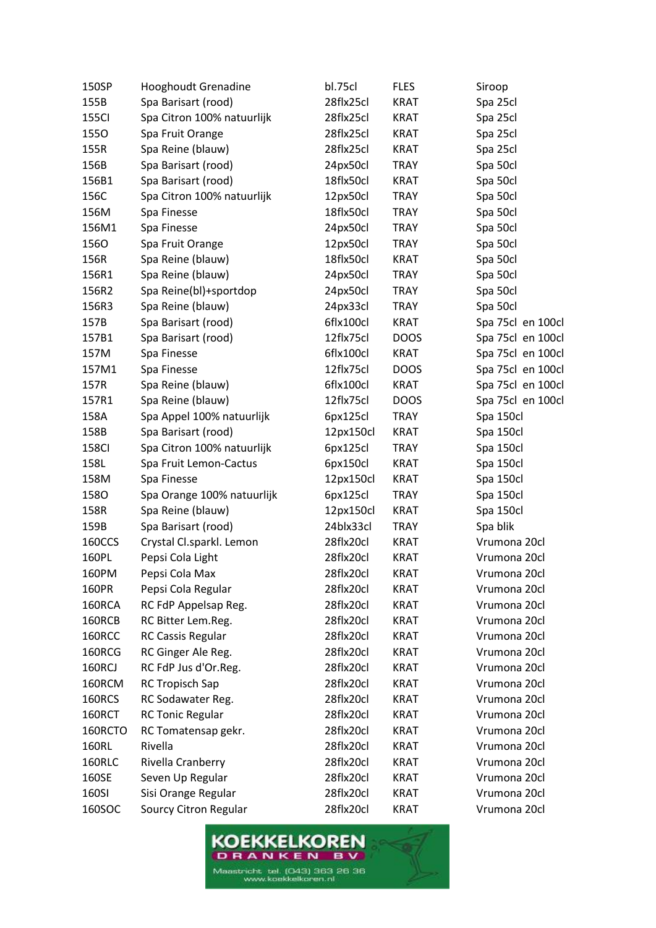| 150SP         | Hooghoudt Grenadine        | bl.75cl   | <b>FLES</b> | Siroop            |
|---------------|----------------------------|-----------|-------------|-------------------|
| 155B          | Spa Barisart (rood)        | 28flx25cl | <b>KRAT</b> | Spa 25cl          |
| 155Cl         | Spa Citron 100% natuurlijk | 28flx25cl | <b>KRAT</b> | Spa 25cl          |
| 1550          | Spa Fruit Orange           | 28flx25cl | <b>KRAT</b> | Spa 25cl          |
| 155R          | Spa Reine (blauw)          | 28flx25cl | <b>KRAT</b> | Spa 25cl          |
| 156B          | Spa Barisart (rood)        | 24px50cl  | <b>TRAY</b> | Spa 50cl          |
| 156B1         | Spa Barisart (rood)        | 18flx50cl | <b>KRAT</b> | Spa 50cl          |
| 156C          | Spa Citron 100% natuurlijk | 12px50cl  | <b>TRAY</b> | Spa 50cl          |
| 156M          | Spa Finesse                | 18flx50cl | <b>TRAY</b> | Spa 50cl          |
| 156M1         | Spa Finesse                | 24px50cl  | <b>TRAY</b> | Spa 50cl          |
| 1560          | Spa Fruit Orange           | 12px50cl  | <b>TRAY</b> | Spa 50cl          |
| 156R          | Spa Reine (blauw)          | 18flx50cl | <b>KRAT</b> | Spa 50cl          |
| 156R1         | Spa Reine (blauw)          | 24px50cl  | <b>TRAY</b> | Spa 50cl          |
| 156R2         | Spa Reine(bl)+sportdop     | 24px50cl  | <b>TRAY</b> | Spa 50cl          |
| 156R3         | Spa Reine (blauw)          | 24px33cl  | <b>TRAY</b> | Spa 50cl          |
| 157B          | Spa Barisart (rood)        | 6flx100cl | <b>KRAT</b> | Spa 75cl en 100cl |
| 157B1         | Spa Barisart (rood)        | 12flx75cl | <b>DOOS</b> | Spa 75cl en 100cl |
| 157M          | Spa Finesse                | 6flx100cl | KRAT        | Spa 75cl en 100cl |
| 157M1         | Spa Finesse                | 12flx75cl | <b>DOOS</b> | Spa 75cl en 100cl |
| 157R          | Spa Reine (blauw)          | 6flx100cl | <b>KRAT</b> | Spa 75cl en 100cl |
| 157R1         | Spa Reine (blauw)          | 12flx75cl | <b>DOOS</b> | Spa 75cl en 100cl |
| 158A          | Spa Appel 100% natuurlijk  | 6px125cl  | <b>TRAY</b> | Spa 150cl         |
| 158B          | Spa Barisart (rood)        | 12px150cl | <b>KRAT</b> | Spa 150cl         |
| <b>158CI</b>  | Spa Citron 100% natuurlijk | 6px125cl  | <b>TRAY</b> | Spa 150cl         |
| 158L          | Spa Fruit Lemon-Cactus     | 6px150cl  | <b>KRAT</b> | Spa 150cl         |
| 158M          | Spa Finesse                | 12px150cl | <b>KRAT</b> | Spa 150cl         |
| 1580          | Spa Orange 100% natuurlijk | 6px125cl  | <b>TRAY</b> | Spa 150cl         |
| 158R          | Spa Reine (blauw)          | 12px150cl | <b>KRAT</b> | Spa 150cl         |
| 159B          | Spa Barisart (rood)        | 24blx33cl | <b>TRAY</b> | Spa blik          |
| 160CCS        | Crystal Cl.sparkl. Lemon   | 28flx20cl | <b>KRAT</b> | Vrumona 20cl      |
| 160PL         | Pepsi Cola Light           | 28flx20cl | <b>KRAT</b> | Vrumona 20cl      |
| 160PM         | Pepsi Cola Max             | 28flx20cl | <b>KRAT</b> | Vrumona 20cl      |
| 160PR         | Pepsi Cola Regular         | 28flx20cl | <b>KRAT</b> | Vrumona 20cl      |
| 160RCA        | RC FdP Appelsap Reg.       | 28flx20cl | <b>KRAT</b> | Vrumona 20cl      |
| 160RCB        | RC Bitter Lem.Reg.         | 28flx20cl | <b>KRAT</b> | Vrumona 20cl      |
| 160RCC        | <b>RC Cassis Regular</b>   | 28flx20cl | <b>KRAT</b> | Vrumona 20cl      |
| 160RCG        | RC Ginger Ale Reg.         | 28flx20cl | <b>KRAT</b> | Vrumona 20cl      |
| <b>160RCJ</b> | RC FdP Jus d'Or.Reg.       | 28flx20cl | KRAT        | Vrumona 20cl      |
| 160RCM        | <b>RC Tropisch Sap</b>     | 28flx20cl | <b>KRAT</b> | Vrumona 20cl      |
| 160RCS        | RC Sodawater Reg.          | 28flx20cl | <b>KRAT</b> | Vrumona 20cl      |
| 160RCT        | <b>RC Tonic Regular</b>    | 28flx20cl | <b>KRAT</b> | Vrumona 20cl      |
| 160RCTO       | RC Tomatensap gekr.        | 28flx20cl | <b>KRAT</b> | Vrumona 20cl      |
| 160RL         | Rivella                    | 28flx20cl | <b>KRAT</b> | Vrumona 20cl      |
| <b>160RLC</b> | Rivella Cranberry          | 28flx20cl | <b>KRAT</b> | Vrumona 20cl      |
| 160SE         | Seven Up Regular           | 28flx20cl | <b>KRAT</b> | Vrumona 20cl      |
| 160SI         | Sisi Orange Regular        | 28flx20cl | KRAT        | Vrumona 20cl      |
| 160SOC        | Sourcy Citron Regular      | 28flx20cl | <b>KRAT</b> | Vrumona 20cl      |

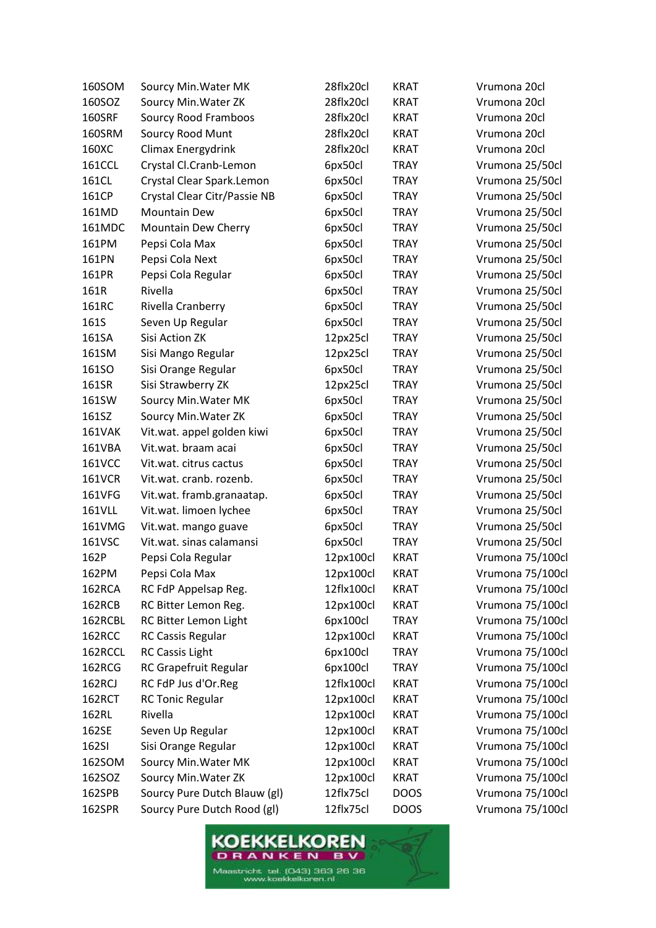| 160SOM        | Sourcy Min. Water MK         | 28flx20cl  | <b>KRAT</b> | Vrumona 20cl     |
|---------------|------------------------------|------------|-------------|------------------|
| 160SOZ        | Sourcy Min. Water ZK         | 28flx20cl  | <b>KRAT</b> | Vrumona 20cl     |
| <b>160SRF</b> | Sourcy Rood Framboos         | 28flx20cl  | <b>KRAT</b> | Vrumona 20cl     |
| 160SRM        | Sourcy Rood Munt             | 28flx20cl  | <b>KRAT</b> | Vrumona 20cl     |
| 160XC         | <b>Climax Energydrink</b>    | 28flx20cl  | <b>KRAT</b> | Vrumona 20cl     |
| <b>161CCL</b> | Crystal Cl.Cranb-Lemon       | 6px50cl    | <b>TRAY</b> | Vrumona 25/50cl  |
| 161CL         | Crystal Clear Spark.Lemon    | 6px50cl    | <b>TRAY</b> | Vrumona 25/50cl  |
| 161CP         | Crystal Clear Citr/Passie NB | 6px50cl    | <b>TRAY</b> | Vrumona 25/50cl  |
| 161MD         | <b>Mountain Dew</b>          | 6px50cl    | <b>TRAY</b> | Vrumona 25/50cl  |
| 161MDC        | Mountain Dew Cherry          | 6px50cl    | <b>TRAY</b> | Vrumona 25/50cl  |
| 161PM         | Pepsi Cola Max               | 6px50cl    | <b>TRAY</b> | Vrumona 25/50cl  |
| 161PN         | Pepsi Cola Next              | 6px50cl    | <b>TRAY</b> | Vrumona 25/50cl  |
| 161PR         | Pepsi Cola Regular           | 6px50cl    | <b>TRAY</b> | Vrumona 25/50cl  |
| 161R          | Rivella                      | 6px50cl    | <b>TRAY</b> | Vrumona 25/50cl  |
| 161RC         | Rivella Cranberry            | 6px50cl    | <b>TRAY</b> | Vrumona 25/50cl  |
| 161S          | Seven Up Regular             | 6px50cl    | <b>TRAY</b> | Vrumona 25/50cl  |
| 161SA         | Sisi Action ZK               | 12px25cl   | <b>TRAY</b> | Vrumona 25/50cl  |
| 161SM         | Sisi Mango Regular           | 12px25cl   | <b>TRAY</b> | Vrumona 25/50cl  |
| 161SO         | Sisi Orange Regular          | 6px50cl    | <b>TRAY</b> | Vrumona 25/50cl  |
| 161SR         | Sisi Strawberry ZK           | 12px25cl   | <b>TRAY</b> | Vrumona 25/50cl  |
| 161SW         | Sourcy Min. Water MK         | 6px50cl    | <b>TRAY</b> | Vrumona 25/50cl  |
| 161SZ         | Sourcy Min. Water ZK         | 6px50cl    | <b>TRAY</b> | Vrumona 25/50cl  |
| <b>161VAK</b> | Vit.wat. appel golden kiwi   | 6px50cl    | <b>TRAY</b> | Vrumona 25/50cl  |
| 161VBA        | Vit.wat. braam acai          | 6px50cl    | <b>TRAY</b> | Vrumona 25/50cl  |
| 161VCC        | Vit.wat. citrus cactus       | 6px50cl    | <b>TRAY</b> | Vrumona 25/50cl  |
| <b>161VCR</b> | Vit.wat. cranb. rozenb.      | 6px50cl    | <b>TRAY</b> | Vrumona 25/50cl  |
| 161VFG        | Vit.wat. framb.granaatap.    | 6px50cl    | <b>TRAY</b> | Vrumona 25/50cl  |
| 161VLL        | Vit.wat. limoen lychee       | 6px50cl    | <b>TRAY</b> | Vrumona 25/50cl  |
| 161VMG        | Vit.wat. mango guave         | 6px50cl    | <b>TRAY</b> | Vrumona 25/50cl  |
| 161VSC        | Vit.wat. sinas calamansi     | 6px50cl    | <b>TRAY</b> | Vrumona 25/50cl  |
| 162P          | Pepsi Cola Regular           | 12px100cl  | <b>KRAT</b> | Vrumona 75/100cl |
| 162PM         | Pepsi Cola Max               | 12px100cl  | <b>KRAT</b> | Vrumona 75/100cl |
| 162RCA        | RC FdP Appelsap Reg.         | 12flx100cl | <b>KRAT</b> | Vrumona 75/100cl |
| 162RCB        | RC Bitter Lemon Reg.         | 12px100cl  | <b>KRAT</b> | Vrumona 75/100cl |
| 162RCBL       | RC Bitter Lemon Light        | 6px100cl   | <b>TRAY</b> | Vrumona 75/100cl |
| 162RCC        | <b>RC Cassis Regular</b>     | 12px100cl  | <b>KRAT</b> | Vrumona 75/100cl |
| 162RCCL       | <b>RC Cassis Light</b>       | 6px100cl   | <b>TRAY</b> | Vrumona 75/100cl |
| 162RCG        | RC Grapefruit Regular        | 6px100cl   | <b>TRAY</b> | Vrumona 75/100cl |
| 162RCJ        | RC FdP Jus d'Or.Reg          | 12flx100cl | <b>KRAT</b> | Vrumona 75/100cl |
| 162RCT        | <b>RC Tonic Regular</b>      | 12px100cl  | <b>KRAT</b> | Vrumona 75/100cl |
| 162RL         | Rivella                      | 12px100cl  | <b>KRAT</b> | Vrumona 75/100cl |
| 162SE         | Seven Up Regular             | 12px100cl  | <b>KRAT</b> | Vrumona 75/100cl |
| 162SI         | Sisi Orange Regular          | 12px100cl  | <b>KRAT</b> | Vrumona 75/100cl |
| 162SOM        | Sourcy Min. Water MK         | 12px100cl  | <b>KRAT</b> | Vrumona 75/100cl |
| 162SOZ        | Sourcy Min. Water ZK         | 12px100cl  | <b>KRAT</b> | Vrumona 75/100cl |
| 162SPB        | Sourcy Pure Dutch Blauw (gl) | 12flx75cl  | <b>DOOS</b> | Vrumona 75/100cl |
| 162SPR        | Sourcy Pure Dutch Rood (gl)  | 12flx75cl  | <b>DOOS</b> | Vrumona 75/100cl |

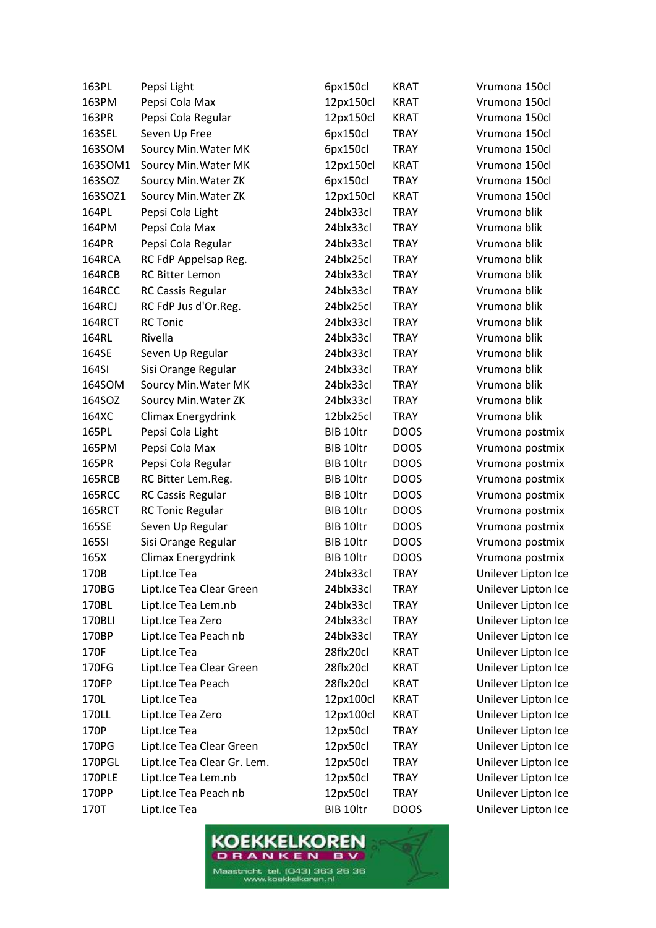| 163PL         | Pepsi Light                 | 6px150cl  | <b>KRAT</b> | Vrumona 150cl       |
|---------------|-----------------------------|-----------|-------------|---------------------|
| 163PM         | Pepsi Cola Max              | 12px150cl | <b>KRAT</b> | Vrumona 150cl       |
| 163PR         | Pepsi Cola Regular          | 12px150cl | <b>KRAT</b> | Vrumona 150cl       |
| 163SEL        | Seven Up Free               | 6px150cl  | <b>TRAY</b> | Vrumona 150cl       |
| 163SOM        | Sourcy Min. Water MK        | 6px150cl  | <b>TRAY</b> | Vrumona 150cl       |
| 163SOM1       | Sourcy Min. Water MK        | 12px150cl | <b>KRAT</b> | Vrumona 150cl       |
| 163SOZ        | Sourcy Min. Water ZK        | 6px150cl  | <b>TRAY</b> | Vrumona 150cl       |
| 163SOZ1       | Sourcy Min. Water ZK        | 12px150cl | <b>KRAT</b> | Vrumona 150cl       |
| 164PL         | Pepsi Cola Light            | 24blx33cl | <b>TRAY</b> | Vrumona blik        |
| 164PM         | Pepsi Cola Max              | 24blx33cl | <b>TRAY</b> | Vrumona blik        |
| 164PR         | Pepsi Cola Regular          | 24blx33cl | <b>TRAY</b> | Vrumona blik        |
| 164RCA        | RC FdP Appelsap Reg.        | 24blx25cl | <b>TRAY</b> | Vrumona blik        |
| 164RCB        | <b>RC Bitter Lemon</b>      | 24blx33cl | <b>TRAY</b> | Vrumona blik        |
| 164RCC        | <b>RC Cassis Regular</b>    | 24blx33cl | <b>TRAY</b> | Vrumona blik        |
| 164RCJ        | RC FdP Jus d'Or.Reg.        | 24blx25cl | <b>TRAY</b> | Vrumona blik        |
| 164RCT        | <b>RC Tonic</b>             | 24blx33cl | <b>TRAY</b> | Vrumona blik        |
| 164RL         | Rivella                     | 24blx33cl | <b>TRAY</b> | Vrumona blik        |
| 164SE         | Seven Up Regular            | 24blx33cl | <b>TRAY</b> | Vrumona blik        |
| 164SI         | Sisi Orange Regular         | 24blx33cl | <b>TRAY</b> | Vrumona blik        |
| 164SOM        | Sourcy Min. Water MK        | 24blx33cl | <b>TRAY</b> | Vrumona blik        |
| 164SOZ        | Sourcy Min. Water ZK        | 24blx33cl | <b>TRAY</b> | Vrumona blik        |
| 164XC         | <b>Climax Energydrink</b>   | 12blx25cl | <b>TRAY</b> | Vrumona blik        |
| 165PL         | Pepsi Cola Light            | BIB 10ltr | <b>DOOS</b> | Vrumona postmix     |
| 165PM         | Pepsi Cola Max              | BIB 10ltr | <b>DOOS</b> | Vrumona postmix     |
| 165PR         | Pepsi Cola Regular          | BIB 10ltr | <b>DOOS</b> | Vrumona postmix     |
| 165RCB        | RC Bitter Lem.Reg.          | BIB 10ltr | <b>DOOS</b> | Vrumona postmix     |
| <b>165RCC</b> | <b>RC Cassis Regular</b>    | BIB 10ltr | <b>DOOS</b> | Vrumona postmix     |
| <b>165RCT</b> | <b>RC Tonic Regular</b>     | BIB 10ltr | <b>DOOS</b> | Vrumona postmix     |
| 165SE         | Seven Up Regular            | BIB 10ltr | <b>DOOS</b> | Vrumona postmix     |
| 165SI         | Sisi Orange Regular         | BIB 10ltr | <b>DOOS</b> | Vrumona postmix     |
| 165X          | Climax Energydrink          | BIB 10ltr | <b>DOOS</b> | Vrumona postmix     |
| 170B          | Lipt.Ice Tea                | 24blx33cl | <b>TRAY</b> | Unilever Lipton Ice |
| 170BG         | Lipt.Ice Tea Clear Green    | 24blx33cl | TRAY        | Unilever Lipton Ice |
| 170BL         | Lipt.Ice Tea Lem.nb         | 24blx33cl | TRAY        | Unilever Lipton Ice |
| 170BLI        | Lipt.Ice Tea Zero           | 24blx33cl | TRAY        | Unilever Lipton Ice |
| 170BP         | Lipt.Ice Tea Peach nb       | 24blx33cl | <b>TRAY</b> | Unilever Lipton Ice |
| 170F          | Lipt.Ice Tea                | 28flx20cl | <b>KRAT</b> | Unilever Lipton Ice |
| 170FG         | Lipt.Ice Tea Clear Green    | 28flx20cl | KRAT        | Unilever Lipton Ice |
| 170FP         | Lipt.Ice Tea Peach          | 28flx20cl | <b>KRAT</b> | Unilever Lipton Ice |
| 170L          | Lipt.Ice Tea                | 12px100cl | <b>KRAT</b> | Unilever Lipton Ice |
| 170LL         | Lipt.Ice Tea Zero           | 12px100cl | <b>KRAT</b> | Unilever Lipton Ice |
| 170P          | Lipt.Ice Tea                | 12px50cl  | TRAY        | Unilever Lipton Ice |
| 170PG         | Lipt.Ice Tea Clear Green    | 12px50cl  | <b>TRAY</b> | Unilever Lipton Ice |
| 170PGL        | Lipt.Ice Tea Clear Gr. Lem. | 12px50cl  | TRAY        | Unilever Lipton Ice |
| 170PLE        | Lipt.Ice Tea Lem.nb         | 12px50cl  | <b>TRAY</b> | Unilever Lipton Ice |
| 170PP         | Lipt.Ice Tea Peach nb       | 12px50cl  | <b>TRAY</b> | Unilever Lipton Ice |
| 170T          | Lipt.Ice Tea                | BIB 10ltr | <b>DOOS</b> | Unilever Lipton Ice |

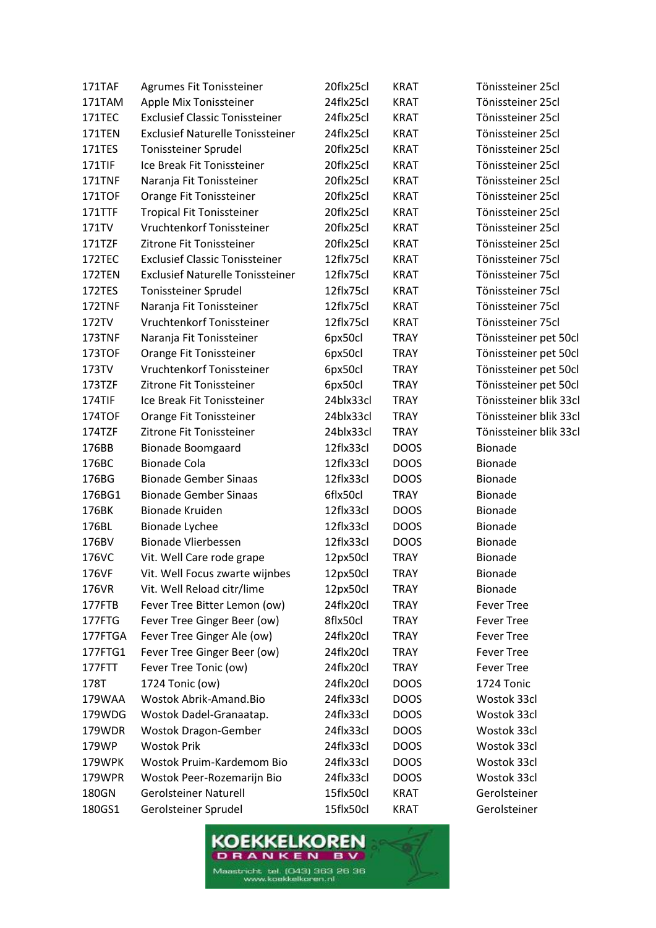| 171TAF        | Agrumes Fit Tonissteiner                | 20flx25cl | <b>KRAT</b> | Tönissteiner 25cl      |
|---------------|-----------------------------------------|-----------|-------------|------------------------|
| 171TAM        | Apple Mix Tonissteiner                  | 24flx25cl | <b>KRAT</b> | Tönissteiner 25cl      |
| 171TEC        | <b>Exclusief Classic Tonissteiner</b>   | 24flx25cl | <b>KRAT</b> | Tönissteiner 25cl      |
| 171TEN        | <b>Exclusief Naturelle Tonissteiner</b> | 24flx25cl | <b>KRAT</b> | Tönissteiner 25cl      |
| 171TES        | Tonissteiner Sprudel                    | 20flx25cl | <b>KRAT</b> | Tönissteiner 25cl      |
| 171TIF        | Ice Break Fit Tonissteiner              | 20flx25cl | <b>KRAT</b> | Tönissteiner 25cl      |
| 171TNF        | Naranja Fit Tonissteiner                | 20flx25cl | <b>KRAT</b> | Tönissteiner 25cl      |
| <b>171TOF</b> | Orange Fit Tonissteiner                 | 20flx25cl | <b>KRAT</b> | Tönissteiner 25cl      |
| 171TTF        | <b>Tropical Fit Tonissteiner</b>        | 20flx25cl | <b>KRAT</b> | Tönissteiner 25cl      |
| 171TV         | Vruchtenkorf Tonissteiner               | 20flx25cl | <b>KRAT</b> | Tönissteiner 25cl      |
| 171TZF        | Zitrone Fit Tonissteiner                | 20flx25cl | <b>KRAT</b> | Tönissteiner 25cl      |
| 172TEC        | <b>Exclusief Classic Tonissteiner</b>   | 12flx75cl | <b>KRAT</b> | Tönissteiner 75cl      |
| 172TEN        | <b>Exclusief Naturelle Tonissteiner</b> | 12flx75cl | <b>KRAT</b> | Tönissteiner 75cl      |
| 172TES        | Tonissteiner Sprudel                    | 12flx75cl | <b>KRAT</b> | Tönissteiner 75cl      |
| 172TNF        | Naranja Fit Tonissteiner                | 12flx75cl | <b>KRAT</b> | Tönissteiner 75cl      |
| 172TV         | Vruchtenkorf Tonissteiner               | 12flx75cl | <b>KRAT</b> | Tönissteiner 75cl      |
| 173TNF        | Naranja Fit Tonissteiner                | 6px50cl   | <b>TRAY</b> | Tönissteiner pet 50cl  |
| 173TOF        | Orange Fit Tonissteiner                 | 6px50cl   | <b>TRAY</b> | Tönissteiner pet 50cl  |
| 173TV         | Vruchtenkorf Tonissteiner               | 6px50cl   | <b>TRAY</b> | Tönissteiner pet 50cl  |
| 173TZF        | Zitrone Fit Tonissteiner                | 6px50cl   | <b>TRAY</b> | Tönissteiner pet 50cl  |
| 174TIF        | Ice Break Fit Tonissteiner              | 24blx33cl | <b>TRAY</b> | Tönissteiner blik 33cl |
| 174TOF        | Orange Fit Tonissteiner                 | 24blx33cl | <b>TRAY</b> | Tönissteiner blik 33cl |
| 174TZF        | Zitrone Fit Tonissteiner                | 24blx33cl | <b>TRAY</b> | Tönissteiner blik 33cl |
| 176BB         | <b>Bionade Boomgaard</b>                | 12flx33cl | <b>DOOS</b> | <b>Bionade</b>         |
| 176BC         | <b>Bionade Cola</b>                     | 12flx33cl | <b>DOOS</b> | Bionade                |
| 176BG         | <b>Bionade Gember Sinaas</b>            | 12flx33cl | <b>DOOS</b> | Bionade                |
| 176BG1        | <b>Bionade Gember Sinaas</b>            | 6flx50cl  | <b>TRAY</b> | Bionade                |
| 176BK         | <b>Bionade Kruiden</b>                  | 12flx33cl | <b>DOOS</b> | Bionade                |
| 176BL         | Bionade Lychee                          | 12flx33cl | <b>DOOS</b> | Bionade                |
| 176BV         | <b>Bionade Vlierbessen</b>              | 12flx33cl | <b>DOOS</b> | Bionade                |
| 176VC         | Vit. Well Care rode grape               | 12px50cl  | <b>TRAY</b> | <b>Bionade</b>         |
| 176VF         | Vit. Well Focus zwarte wijnbes          | 12px50cl  | <b>TRAY</b> | <b>Bionade</b>         |
| 176VR         | Vit. Well Reload citr/lime              | 12px50cl  | <b>TRAY</b> | <b>Bionade</b>         |
| 177FTB        | Fever Tree Bitter Lemon (ow)            | 24flx20cl | <b>TRAY</b> | <b>Fever Tree</b>      |
| 177FTG        | Fever Tree Ginger Beer (ow)             | 8flx50cl  | <b>TRAY</b> | <b>Fever Tree</b>      |
| 177FTGA       | Fever Tree Ginger Ale (ow)              | 24flx20cl | <b>TRAY</b> | <b>Fever Tree</b>      |
| 177FTG1       | Fever Tree Ginger Beer (ow)             | 24flx20cl | <b>TRAY</b> | <b>Fever Tree</b>      |
| 177FTT        | Fever Tree Tonic (ow)                   | 24flx20cl | <b>TRAY</b> | <b>Fever Tree</b>      |
| 178T          | 1724 Tonic (ow)                         | 24flx20cl | <b>DOOS</b> | 1724 Tonic             |
| 179WAA        | Wostok Abrik-Amand.Bio                  | 24flx33cl | <b>DOOS</b> | Wostok 33cl            |
| 179WDG        | Wostok Dadel-Granaatap.                 | 24flx33cl | <b>DOOS</b> | Wostok 33cl            |
| 179WDR        | <b>Wostok Dragon-Gember</b>             | 24flx33cl | <b>DOOS</b> | Wostok 33cl            |
| 179WP         | <b>Wostok Prik</b>                      | 24flx33cl | <b>DOOS</b> | Wostok 33cl            |
| 179WPK        | Wostok Pruim-Kardemom Bio               | 24flx33cl | <b>DOOS</b> | Wostok 33cl            |
| 179WPR        | Wostok Peer-Rozemarijn Bio              | 24flx33cl | <b>DOOS</b> | Wostok 33cl            |
| 180GN         | <b>Gerolsteiner Naturell</b>            | 15flx50cl | <b>KRAT</b> | Gerolsteiner           |
| 180GS1        | Gerolsteiner Sprudel                    | 15flx50cl | <b>KRAT</b> | Gerolsteiner           |